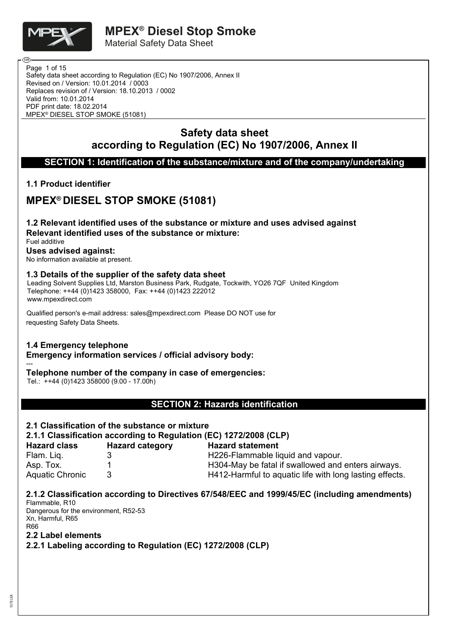

Safety data sheet according to Regulation (EC) No 1907/2006, Annex II Revised on / Version: 10.01.2014 / 0003 Replaces revision of / Version: 18.10.2013 / 0002 Valid from: 10.01.2014 PDF print date: 18.02.2014 Page 1 of 15 MPEX® DIESEL STOP SMOKE (51081)

# **Safety data sheet according to Regulation (EC) No 1907/2006, Annex II**

**SECTION 1: Identification of the substance/mixture and of the company/undertaking**

### **1.1 Product identifier**

# **MPEX® DIESEL STOP SMOKE (51081)**

**1.2 Relevant identified uses of the substance or mixture and uses advised against Relevant identified uses of the substance or mixture:**

Fuel additive **Uses advised against:**

No information available at present.

### **1.3 Details of the supplier of the safety data sheet**

Leading Solvent Supplies Ltd, Marston Business Park, Rudgate, Tockwith, YO26 7QF United Kingdom Telephone: ++44 (0)1423 358000, Fax: ++44 (0)1423 222012 www.mpexdirect.com

requesting Safety Data Sheets. Qualified person's e-mail address: sales@mpexdirect.com Please DO NOT use for

# **1.4 Emergency telephone**

**Emergency information services / official advisory body:**

#### --- **Telephone number of the company in case of emergencies:**

Tel.: ++44 (0)1423 358000 (9.00 - 17.00h)

### **SECTION 2: Hazards identification**

### **2.1 Classification of the substance or mixture**

**2.1.1 Classification according to Regulation (EC) 1272/2008 (CLP)**

| <b>Hazard class</b>    | <b>Hazard category</b> | <b>Hazard statement</b>                                 |
|------------------------|------------------------|---------------------------------------------------------|
| Flam. Lig.             |                        | H226-Flammable liquid and vapour.                       |
| Asp. Tox.              |                        | H304-May be fatal if swallowed and enters airways.      |
| <b>Aquatic Chronic</b> |                        | H412-Harmful to aquatic life with long lasting effects. |

### **2.1.2 Classification according to Directives 67/548/EEC and 1999/45/EC (including amendments)**

Flammable, R10 Dangerous for the environment, R52-53 Xn, Harmful, R65 R66

### **2.2 Label elements**

**2.2.1 Labeling according to Regulation (EC) 1272/2008 (CLP)**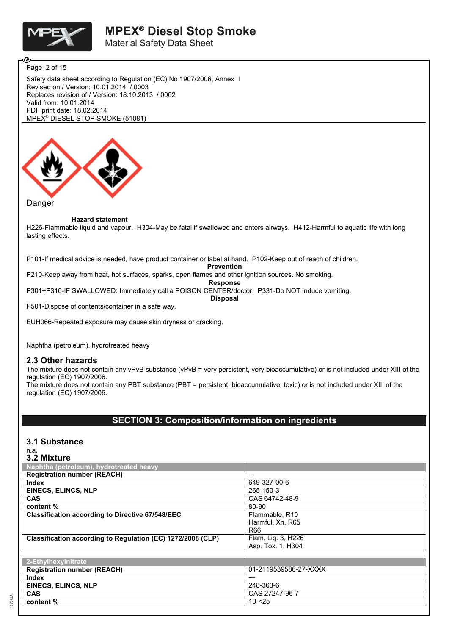

Material Safety Data Sheet

Page 2 of 15

Safety data sheet according to Regulation (EC) No 1907/2006, Annex II Revised on / Version: 10.01.2014 / 0003 Replaces revision of / Version: 18.10.2013 / 0002 Valid from: 10.01.2014 PDF print date: 18.02.2014 MPEX® DIESEL STOP SMOKE (51081)



#### **Hazard statement**

H226-Flammable liquid and vapour. H304-May be fatal if swallowed and enters airways. H412-Harmful to aquatic life with long lasting effects.

P101-If medical advice is needed, have product container or label at hand. P102-Keep out of reach of children.

**Prevention**

P210-Keep away from heat, hot surfaces, sparks, open flames and other ignition sources. No smoking.

**Response**

P301+P310-IF SWALLOWED: Immediately call a POISON CENTER/doctor. P331-Do NOT induce vomiting.

**Disposal**

P501-Dispose of contents/container in a safe way.

EUH066-Repeated exposure may cause skin dryness or cracking.

Naphtha (petroleum), hydrotreated heavy

#### **2.3 Other hazards**

The mixture does not contain any vPvB substance (vPvB = very persistent, very bioaccumulative) or is not included under XIII of the regulation (EC) 1907/2006.

The mixture does not contain any PBT substance (PBT = persistent, bioaccumulative, toxic) or is not included under XIII of the regulation (EC) 1907/2006.

### **SECTION 3: Composition/information on ingredients**

### **3.1 Substance**

#### n.a. **3.2 Mixture**

1078 LEA

| VIL IIIIALUI V                                              |                       |
|-------------------------------------------------------------|-----------------------|
| Naphtha (petroleum), hydrotreated heavy                     |                       |
| <b>Registration number (REACH)</b>                          | --                    |
| Index                                                       | 649-327-00-6          |
| <b>EINECS, ELINCS, NLP</b>                                  | 265-150-3             |
| <b>CAS</b>                                                  | CAS 64742-48-9        |
| content %                                                   | 80-90                 |
| <b>Classification according to Directive 67/548/EEC</b>     | Flammable, R10        |
|                                                             | Harmful, Xn, R65      |
|                                                             | R66                   |
| Classification according to Regulation (EC) 1272/2008 (CLP) | Flam. Liq. 3, H226    |
|                                                             | Asp. Tox. 1, H304     |
|                                                             |                       |
| 2-Ethylhexylnitrate                                         |                       |
| <b>Registration number (REACH)</b>                          | 01-2119539586-27-XXXX |
| Index                                                       | ---                   |
| <b>EINECS, ELINCS, NLP</b>                                  | 248-363-6             |
| <b>CAS</b>                                                  | CAS 27247-96-7        |
| content %                                                   | $10 - 25$             |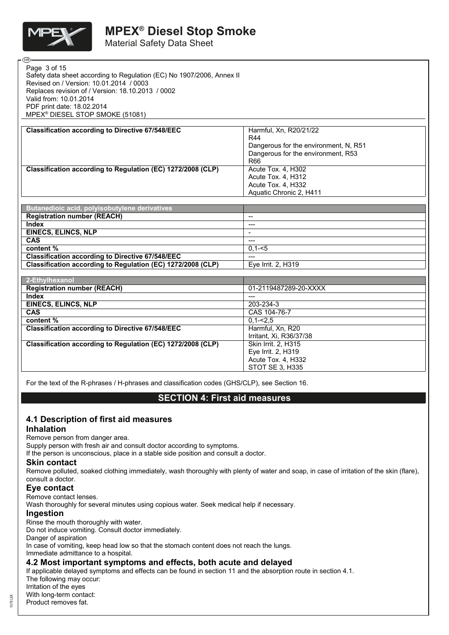

**ெ** 

Material Safety Data Sheet

| Page 3 of 15                                                          |  |
|-----------------------------------------------------------------------|--|
| Safety data sheet according to Regulation (EC) No 1907/2006, Annex II |  |
| Revised on / Version: 10.01.2014 / 0003                               |  |
| Replaces revision of / Version: 18.10.2013 / 0002                     |  |
| Valid from: 10.01.2014                                                |  |
| PDF print date: 18.02.2014                                            |  |
| MPEX <sup>®</sup> DIESEL STOP SMOKE (51081)                           |  |
|                                                                       |  |

| <b>Classification according to Directive 67/548/EEC</b>     | Harmful, Xn, R20/21/22                |
|-------------------------------------------------------------|---------------------------------------|
|                                                             | <b>R44</b>                            |
|                                                             | Dangerous for the environment, N, R51 |
|                                                             | Dangerous for the environment, R53    |
|                                                             | R66                                   |
| Classification according to Regulation (EC) 1272/2008 (CLP) | Acute Tox. 4, H302                    |
|                                                             | Acute Tox. 4, H312                    |
|                                                             | Acute Tox. 4, H332                    |
|                                                             | Aquatic Chronic 2, H411               |
|                                                             |                                       |

| Butanedioic acid, polyisobutylene derivatives               |                          |
|-------------------------------------------------------------|--------------------------|
| <b>Registration number (REACH)</b>                          | $- -$                    |
| <b>Index</b>                                                | $---$                    |
| <b>EINECS, ELINCS, NLP</b>                                  | $\overline{\phantom{a}}$ |
| <b>CAS</b>                                                  | $---$                    |
| content %                                                   | $0.1 - 5$                |
| <b>Classification according to Directive 67/548/EEC</b>     | $---$                    |
| Classification according to Regulation (EC) 1272/2008 (CLP) | Eye Irrit. 2, H319       |

| 2-Ethylhexanol                                              |                         |
|-------------------------------------------------------------|-------------------------|
| <b>Registration number (REACH)</b>                          | 01-2119487289-20-XXXX   |
| Index                                                       | ---                     |
| <b>EINECS, ELINCS, NLP</b>                                  | 203-234-3               |
| <b>CAS</b>                                                  | CAS 104-76-7            |
| content %                                                   | $0.1 - 2.5$             |
| <b>Classification according to Directive 67/548/EEC</b>     | Harmful, Xn, R20        |
|                                                             | Irritant, Xi, R36/37/38 |
| Classification according to Regulation (EC) 1272/2008 (CLP) | Skin Irrit. 2, H315     |
|                                                             | Eye Irrit. 2, H319      |
|                                                             | Acute Tox. 4, H332      |
|                                                             | STOT SE 3, H335         |

For the text of the R-phrases / H-phrases and classification codes (GHS/CLP), see Section 16.

### **SECTION 4: First aid measures**

### **4.1 Description of first aid measures**

#### **Inhalation**

Remove person from danger area.

Supply person with fresh air and consult doctor according to symptoms.

If the person is unconscious, place in a stable side position and consult a doctor.

### **Skin contact**

Remove polluted, soaked clothing immediately, wash thoroughly with plenty of water and soap, in case of irritation of the skin (flare), consult a doctor.

### **Eye contact**

Remove contact lenses.

Wash thoroughly for several minutes using copious water. Seek medical help if necessary.

#### **Ingestion**

Rinse the mouth thoroughly with water.

Do not induce vomiting. Consult doctor immediately.

Danger of aspiration

In case of vomiting, keep head low so that the stomach content does not reach the lungs. Immediate admittance to a hospital.

### **4.2 Most important symptoms and effects, both acute and delayed**

If applicable delayed symptoms and effects can be found in section 11 and the absorption route in section 4.1. The following may occur:

Irritation of the eyes

With long-term contact:

Product removes fat.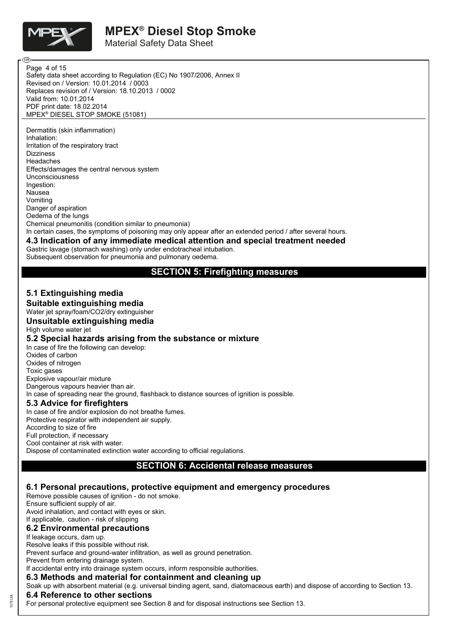

ŒВ

# **MPEX® Diesel Stop Smoke**

Material Safety Data Sheet

Safety data sheet according to Regulation (EC) No 1907/2006, Annex II Revised on / Version: 10.01.2014 / 0003 Replaces revision of / Version: 18.10.2013 / 0002 Valid from: 10.01.2014 PDF print date: 18.02.2014 MPEX® DIESEL STOP SMOKE (51081) Page 4 of 15

Dermatitis (skin inflammation) Inhalation: Irritation of the respiratory tract **Dizziness** Headaches Effects/damages the central nervous system Unconsciousness Ingestion: Nausea Vomiting Danger of aspiration Oedema of the lungs Chemical pneumonitis (condition similar to pneumonia) In certain cases, the symptoms of poisoning may only appear after an extended period / after several hours.

### **4.3 Indication of any immediate medical attention and special treatment needed**

Gastric lavage (stomach washing) only under endotracheal intubation. Subsequent observation for pneumonia and pulmonary oedema.

### **SECTION 5: Firefighting measures**

#### **5.1 Extinguishing media Suitable extinguishing media**

Water jet spray/foam/CO2/dry extinguisher

### **Unsuitable extinguishing media**

High volume water jet

#### **5.2 Special hazards arising from the substance or mixture**

In case of fire the following can develop: Oxides of carbon Oxides of nitrogen Toxic gases Explosive vapour/air mixture Dangerous vapours heavier than air. In case of spreading near the ground, flashback to distance sources of ignition is possible. **5.3 Advice for firefighters** In case of fire and/or explosion do not breathe fumes.

Protective respirator with independent air supply. According to size of fire Full protection, if necessary Cool container at risk with water. Dispose of contaminated extinction water according to official regulations.

### **SECTION 6: Accidental release measures**

### **6.1 Personal precautions, protective equipment and emergency procedures**

Remove possible causes of ignition - do not smoke. Ensure sufficient supply of air. Avoid inhalation, and contact with eyes or skin. If applicable, caution - risk of slipping

### **6.2 Environmental precautions**

If leakage occurs, dam up.

Resolve leaks if this possible without risk.

Prevent surface and ground-water infiltration, as well as ground penetration.

Prevent from entering drainage system.

#### If accidental entry into drainage system occurs, inform responsible authorities.

#### **6.3 Methods and material for containment and cleaning up**

Soak up with absorbent material (e.g. universal binding agent, sand, diatomaceous earth) and dispose of according to Section 13.

### **6.4 Reference to other sections**

For personal protective equipment see Section 8 and for disposal instructions see Section 13.

 $E$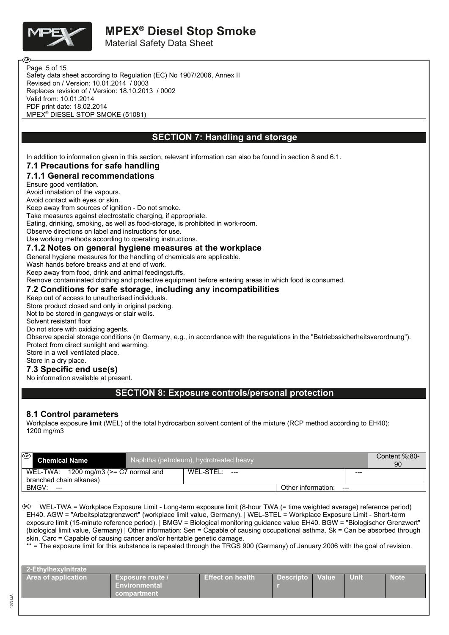

ΘB

Material Safety Data Sheet

Safety data sheet according to Regulation (EC) No 1907/2006, Annex II Revised on / Version: 10.01.2014 / 0003 Replaces revision of / Version: 18.10.2013 / 0002 Valid from: 10.01.2014 PDF print date: 18.02.2014 MPEX® DIESEL STOP SMOKE (51081) Page 5 of 15

### **SECTION 7: Handling and storage**

In addition to information given in this section, relevant information can also be found in section 8 and 6.1.

### **7.1 Precautions for safe handling**

### **7.1.1 General recommendations**

Ensure good ventilation.

Avoid inhalation of the vapours.

Avoid contact with eyes or skin.

Keep away from sources of ignition - Do not smoke.

Take measures against electrostatic charging, if appropriate.

Eating, drinking, smoking, as well as food-storage, is prohibited in work-room.

Observe directions on label and instructions for use.

Use working methods according to operating instructions.

### **7.1.2 Notes on general hygiene measures at the workplace**

General hygiene measures for the handling of chemicals are applicable.

Wash hands before breaks and at end of work.

Keep away from food, drink and animal feedingstuffs.

Remove contaminated clothing and protective equipment before entering areas in which food is consumed.

### **7.2 Conditions for safe storage, including any incompatibilities**

#### Keep out of access to unauthorised individuals.

Store product closed and only in original packing.

Not to be stored in gangways or stair wells.

Solvent resistant floor

Do not store with oxidizing agents.

Observe special storage conditions (in Germany, e.g., in accordance with the regulations in the "Betriebssicherheitsverordnung"). Protect from direct sunlight and warming.

Store in a well ventilated place.

#### Store in a dry place.

### **7.3 Specific end use(s)**

No information available at present.

### **SECTION 8: Exposure controls/personal protection**

#### **8.1 Control parameters**

Workplace exposure limit (WEL) of the total hydrocarbon solvent content of the mixture (RCP method according to EH40): 1200 mg/m3

| ⊛<br><b>Chemical Name</b>                             | Naphtha (petroleum), hydrotreated heavy |                    |       | Content $\%$ :80-<br>90 |
|-------------------------------------------------------|-----------------------------------------|--------------------|-------|-------------------------|
| WEL-TWA: $1200 \text{ mg/m}$ 3 ( $> = C$ 7 normal and | WEL-STEL:<br>$---$                      |                    | ---   |                         |
| branched chain alkanes)                               |                                         |                    |       |                         |
| BMGV:<br>$---$                                        |                                         | Other information: | $---$ |                         |

 WEL-TWA = Workplace Exposure Limit - Long-term exposure limit (8-hour TWA (= time weighted average) reference period) EH40. AGW = "Arbeitsplatzgrenzwert" (workplace limit value, Germany). | WEL-STEL = Workplace Exposure Limit - Short-term exposure limit (15-minute reference period). | BMGV = Biological monitoring guidance value EH40. BGW = "Biologischer Grenzwert" (biological limit value, Germany) | Other information: Sen = Capable of causing occupational asthma. Sk = Can be absorbed through skin. Carc = Capable of causing cancer and/or heritable genetic damage.

\*\* = The exposure limit for this substance is repealed through the TRGS 900 (Germany) of January 2006 with the goal of revision.

| 2-Ethvlhexvlnitrate        |                                                                |                         |                  |                    |      |             |
|----------------------------|----------------------------------------------------------------|-------------------------|------------------|--------------------|------|-------------|
| <b>Area of application</b> | <b>Exposure route</b> /<br><b>Environmental</b><br>compartment | <b>Effect on health</b> | <b>Descripto</b> | Value <sup>1</sup> | Unit | <b>Note</b> |
|                            |                                                                |                         |                  |                    |      |             |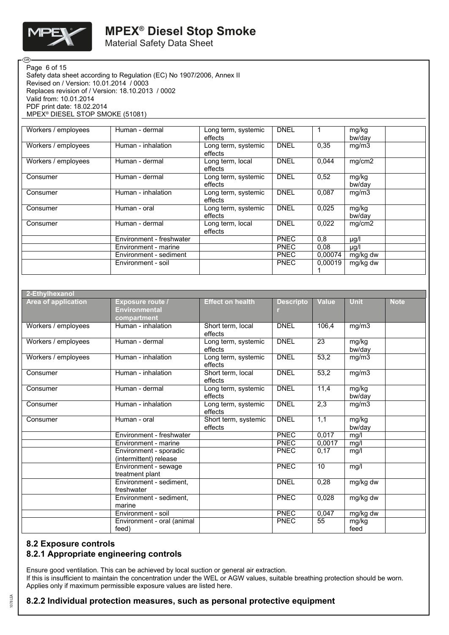

**ි** 

# **MPEX® Diesel Stop Smoke**

Material Safety Data Sheet

Safety data sheet according to Regulation (EC) No 1907/2006, Annex II Revised on / Version: 10.01.2014 / 0003 Replaces revision of / Version: 18.10.2013 / 0002 Valid from: 10.01.2014 PDF print date: 18.02.2014 MPEX® DIESEL STOP SMOKE (51081) Page 6 of 15

| Workers / employees | Human - dermal           | Long term, systemic<br>effects | <b>DNEL</b> |         | mg/kg<br>bw/day |  |
|---------------------|--------------------------|--------------------------------|-------------|---------|-----------------|--|
| Workers / employees | Human - inhalation       | Long term, systemic<br>effects | <b>DNEL</b> | 0,35    | mg/m3           |  |
| Workers / employees | Human - dermal           | Long term, local<br>effects    | <b>DNEL</b> | 0,044   | mg/cm2          |  |
| Consumer            | Human - dermal           | Long term, systemic<br>effects | <b>DNEL</b> | 0,52    | mg/kg<br>bw/day |  |
| Consumer            | Human - inhalation       | Long term, systemic<br>effects | <b>DNEL</b> | 0.087   | mg/m3           |  |
| Consumer            | Human - oral             | Long term, systemic<br>effects | <b>DNEL</b> | 0,025   | mg/kg<br>bw/day |  |
| Consumer            | Human - dermal           | Long term, local<br>effects    | <b>DNEL</b> | 0,022   | mg/cm2          |  |
|                     | Environment - freshwater |                                | <b>PNEC</b> | 0,8     | µg/l            |  |
|                     | Environment - marine     |                                | <b>PNEC</b> | 0,08    | $\mu$ g/l       |  |
|                     | Environment - sediment   |                                | <b>PNEC</b> | 0,00074 | mg/kg dw        |  |
|                     | Environment - soil       |                                | <b>PNEC</b> | 0.00019 | mg/kg dw        |  |

| 2-Ethylhexanol             |                                                                |                                 |                  |              |                    |             |
|----------------------------|----------------------------------------------------------------|---------------------------------|------------------|--------------|--------------------|-------------|
| <b>Area of application</b> | <b>Exposure route /</b><br><b>Environmental</b><br>compartment | <b>Effect on health</b>         | <b>Descripto</b> | <b>Value</b> | <b>Unit</b>        | <b>Note</b> |
| Workers / employees        | Human - inhalation                                             | Short term, local<br>effects    | <b>DNEL</b>      | 106.4        | mg/m3              |             |
| Workers / employees        | Human - dermal                                                 | Long term, systemic<br>effects  | <b>DNEL</b>      | 23           | mg/kg<br>bw/day    |             |
| Workers / employees        | Human - inhalation                                             | Long term, systemic<br>effects  | <b>DNEL</b>      | 53,2         | mg/m3              |             |
| Consumer                   | Human - inhalation                                             | Short term, local<br>effects    | <b>DNEL</b>      | 53,2         | mg/m3              |             |
| Consumer                   | Human - dermal                                                 | Long term, systemic<br>effects  | <b>DNEL</b>      | 11,4         | mg/kg<br>bw/day    |             |
| Consumer                   | Human - inhalation                                             | Long term, systemic<br>effects  | <b>DNEL</b>      | 2,3          | $mg/m\overline{3}$ |             |
| Consumer                   | Human - oral                                                   | Short term, systemic<br>effects | <b>DNEL</b>      | 1,1          | mg/kg<br>bw/day    |             |
|                            | Environment - freshwater                                       |                                 | PNEC             | 0,017        | mg/l               |             |
|                            | Environment - marine                                           |                                 | <b>PNEC</b>      | 0.0017       | mg/l               |             |
|                            | Environment - sporadic<br>(intermittent) release               |                                 | <b>PNEC</b>      | 0,17         | mg/l               |             |
|                            | Environment - sewage<br>treatment plant                        |                                 | <b>PNEC</b>      | 10           | mq/l               |             |
|                            | Environment - sediment,<br>freshwater                          |                                 | <b>DNEL</b>      | 0,28         | mg/kg dw           |             |
|                            | Environment - sediment.<br>marine                              |                                 | PNEC             | 0,028        | mg/kg dw           |             |
|                            | Environment - soil                                             |                                 | <b>PNEC</b>      | 0,047        | mg/kg dw           |             |
|                            | Environment - oral (animal<br>feed)                            |                                 | PNEC             | 55           | mg/kg<br>feed      |             |

#### **8.2 Exposure controls**

### **8.2.1 Appropriate engineering controls**

Ensure good ventilation. This can be achieved by local suction or general air extraction. If this is insufficient to maintain the concentration under the WEL or AGW values, suitable breathing protection should be worn. Applies only if maximum permissible exposure values are listed here.

### **8.2.2 Individual protection measures, such as personal protective equipment**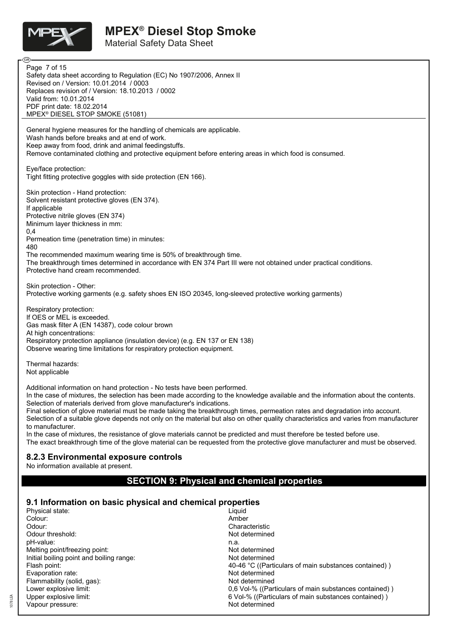

Material Safety Data Sheet

**ි** Page 7 of 15Safety data sheet according to Regulation (EC) No 1907/2006, Annex II Revised on / Version: 10.01.2014 / 0003 Replaces revision of / Version: 18.10.2013 / 0002 Valid from: 10.01.2014 PDF print date: 18.02.2014 MPEX® DIESEL STOP SMOKE (51081) General hygiene measures for the handling of chemicals are applicable. Wash hands before breaks and at end of work. Keep away from food, drink and animal feedingstuffs. Remove contaminated clothing and protective equipment before entering areas in which food is consumed. Eye/face protection: Tight fitting protective goggles with side protection (EN 166). Skin protection - Hand protection: Solvent resistant protective gloves (EN 374). If applicable Protective nitrile gloves (EN 374) Minimum layer thickness in mm:  $0.4$ Permeation time (penetration time) in minutes: 480 The recommended maximum wearing time is 50% of breakthrough time. The breakthrough times determined in accordance with EN 374 Part III were not obtained under practical conditions. Protective hand cream recommended. Skin protection - Other: Protective working garments (e.g. safety shoes EN ISO 20345, long-sleeved protective working garments) Respiratory protection: If OES or MEL is exceeded. Gas mask filter A (EN 14387), code colour brown At high concentrations: Respiratory protection appliance (insulation device) (e.g. EN 137 or EN 138) Observe wearing time limitations for respiratory protection equipment. Thermal hazards: Not applicable Additional information on hand protection - No tests have been performed. In the case of mixtures, the selection has been made according to the knowledge available and the information about the contents. Selection of materials derived from glove manufacturer's indications. Final selection of glove material must be made taking the breakthrough times, permeation rates and degradation into account. Selection of a suitable glove depends not only on the material but also on other quality characteristics and varies from manufacturer to manufacturer. In the case of mixtures, the resistance of glove materials cannot be predicted and must therefore be tested before use. The exact breakthrough time of the glove material can be requested from the protective glove manufacturer and must be observed. **8.2.3 Environmental exposure controls** No information available at present. **SECTION 9: Physical and chemical properties 9.1 Information on basic physical and chemical properties** Physical state: Colour: Amber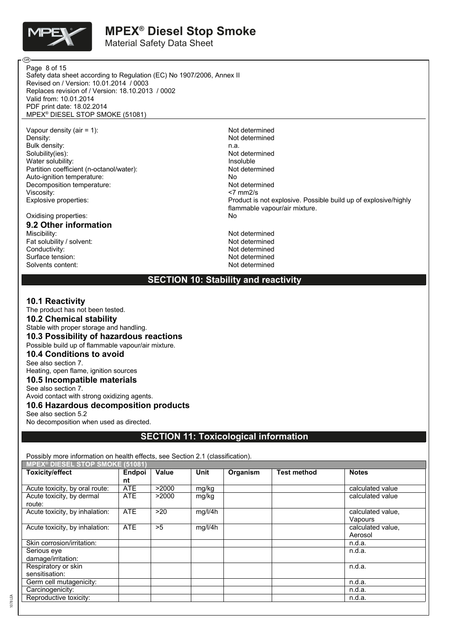

Material Safety Data Sheet

Safety data sheet according to Regulation (EC) No 1907/2006, Annex II Revised on / Version: 10.01.2014 / 0003 Replaces revision of / Version: 18.10.2013 / 0002 Valid from: 10.01.2014 PDF print date: 18.02.2014 MPEX® DIESEL STOP SMOKE (51081) Page 8 of 15

Vapour density (air = 1):<br>
Density:<br>
Not determined<br>
Not determined Bulk density:<br>Solubility(ies): Water solubility:<br>
Partition coefficient (n-octanol/water):<br>
Partition coefficient (n-octanol/water): Partition coefficient (n-octanol/water): Not determined the Not determined the Not determined the Not determined the Not determined the Not determined the Not determined the Not determined the Not determined the Not determ Auto-ignition temperature:<br>
Decomposition temperature:<br>
Not determined Decomposition temperature: Viscosity: <7 mm2/s

# Oxidising properties: **9.2 Other information**

Fat solubility / solvent: Conductivity:<br>
Surface tension:<br>
Not determined<br>
Not determined Surface tension: Solvents content: Not determined

Not determined<br>n.a. Not determined<br>Insoluble Explosive properties: Product is not explosive. Possible build up of explosive/highly flammable vapour/air mixture.<br>No Not determined<br>Not determined

**SECTION 10: Stability and reactivity**

#### **10.1 Reactivity**

The product has not been tested. **10.2 Chemical stability** Stable with proper storage and handling. **10.3 Possibility of hazardous reactions** Possible build up of flammable vapour/air mixture. **10.4 Conditions to avoid** See also section 7. Heating, open flame, ignition sources **10.5 Incompatible materials** See also section 7. Avoid contact with strong oxidizing agents. **10.6 Hazardous decomposition products** See also section 5.2 No decomposition when used as directed.

**SECTION 11: Toxicological information**

Possibly more information on health effects, see Section 2.1 (classification).

| <b>MPEX<sup>®</sup> DIESEL STOP SMOKE (51081)</b> |            |       |             |          |                    |                              |
|---------------------------------------------------|------------|-------|-------------|----------|--------------------|------------------------------|
| <b>Toxicity/effect</b>                            | Endpoi     | Value | <b>Unit</b> | Organism | <b>Test method</b> | <b>Notes</b>                 |
|                                                   | nt         |       |             |          |                    |                              |
| Acute toxicity, by oral route:                    | <b>ATE</b> | >2000 | mg/kg       |          |                    | calculated value             |
| Acute toxicity, by dermal<br>route:               | <b>ATE</b> | >2000 | mg/kg       |          |                    | calculated value             |
| Acute toxicity, by inhalation:                    | <b>ATE</b> | >20   | mg/l/4h     |          |                    | calculated value.<br>Vapours |
| Acute toxicity, by inhalation:                    | <b>ATE</b> | >5    | mg/l/4h     |          |                    | calculated value.<br>Aerosol |
| Skin corrosion/irritation:                        |            |       |             |          |                    | n.d.a.                       |
| Serious eve<br>damage/irritation:                 |            |       |             |          |                    | n.d.a.                       |
| Respiratory or skin<br>sensitisation:             |            |       |             |          |                    | n.d.a.                       |
| Germ cell mutagenicity:                           |            |       |             |          |                    | n.d.a.                       |
| Carcinogenicity:                                  |            |       |             |          |                    | n.d.a.                       |
| Reproductive toxicity:                            |            |       |             |          |                    | n.d.a.                       |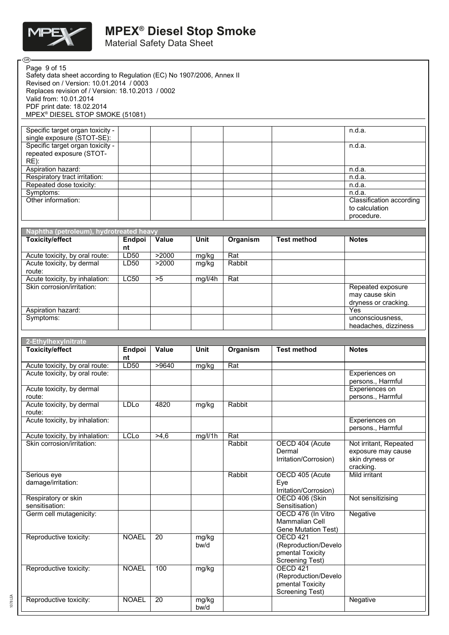

œ

# **MPEX® Diesel Stop Smoke**

Material Safety Data Sheet

| Page 9 of 15<br>Safety data sheet according to Regulation (EC) No 1907/2006, Annex II<br>Revised on / Version: 10.01.2014 / 0003<br>Replaces revision of / Version: 18.10.2013 / 0002<br>Valid from: 10.01.2014<br>PDF print date: 18.02.2014<br>MPEX <sup>®</sup> DIESEL STOP SMOKE (51081) |                     |       |               |               |                                                                                |                                                                 |
|----------------------------------------------------------------------------------------------------------------------------------------------------------------------------------------------------------------------------------------------------------------------------------------------|---------------------|-------|---------------|---------------|--------------------------------------------------------------------------------|-----------------------------------------------------------------|
| Specific target organ toxicity -<br>single exposure (STOT-SE):                                                                                                                                                                                                                               |                     |       |               |               |                                                                                | n.d.a.                                                          |
| Specific target organ toxicity -                                                                                                                                                                                                                                                             |                     |       |               |               |                                                                                | n.d.a.                                                          |
| repeated exposure (STOT-<br>RE):                                                                                                                                                                                                                                                             |                     |       |               |               |                                                                                |                                                                 |
| Aspiration hazard:<br>Respiratory tract irritation:                                                                                                                                                                                                                                          |                     |       |               |               |                                                                                | n.d.a.<br>n.d.a.                                                |
| Repeated dose toxicity:<br>Symptoms:                                                                                                                                                                                                                                                         |                     |       |               |               |                                                                                | n.d.a.<br>n.d.a.                                                |
| Other information:                                                                                                                                                                                                                                                                           |                     |       |               |               |                                                                                | Classification according<br>to calculation<br>procedure.        |
|                                                                                                                                                                                                                                                                                              |                     |       |               |               |                                                                                |                                                                 |
| Naphtha (petroleum), hydrotreated heavy<br><b>Toxicity/effect</b>                                                                                                                                                                                                                            | Endpoi              | Value | Unit          | Organism      | <b>Test method</b>                                                             | <b>Notes</b>                                                    |
| Acute toxicity, by oral route:                                                                                                                                                                                                                                                               | nt<br>LD50          | >2000 | mg/kg         | Rat           |                                                                                |                                                                 |
| Acute toxicity, by dermal<br>route:                                                                                                                                                                                                                                                          | LD50                | >2000 | mg/kg         | Rabbit        |                                                                                |                                                                 |
| Acute toxicity, by inhalation:                                                                                                                                                                                                                                                               | LC50                | >5    | mg/l/4h       | Rat           |                                                                                |                                                                 |
| Skin corrosion/irritation:                                                                                                                                                                                                                                                                   |                     |       |               |               |                                                                                | Repeated exposure<br>may cause skin<br>dryness or cracking.     |
| Aspiration hazard:<br>Symptoms:                                                                                                                                                                                                                                                              |                     |       |               |               |                                                                                | Yes<br>unconsciousness,                                         |
|                                                                                                                                                                                                                                                                                              |                     |       |               |               |                                                                                | headaches, dizziness                                            |
|                                                                                                                                                                                                                                                                                              |                     |       |               |               |                                                                                |                                                                 |
|                                                                                                                                                                                                                                                                                              |                     |       |               |               |                                                                                |                                                                 |
| 2-Ethylhexylnitrate                                                                                                                                                                                                                                                                          |                     | Value | Unit          |               | <b>Test method</b>                                                             | <b>Notes</b>                                                    |
| <b>Toxicity/effect</b>                                                                                                                                                                                                                                                                       | <b>Endpoi</b><br>nt |       |               | Organism      |                                                                                |                                                                 |
| Acute toxicity, by oral route:<br>Acute toxicity, by oral route:                                                                                                                                                                                                                             | LD50                | >9640 | mg/kg         | Rat           |                                                                                | Experiences on                                                  |
| Acute toxicity, by dermal                                                                                                                                                                                                                                                                    |                     |       |               |               |                                                                                | persons., Harmful<br>Experiences on                             |
| route:<br>Acute toxicity, by dermal                                                                                                                                                                                                                                                          | LDLo                | 4820  | mg/kg         | Rabbit        |                                                                                | persons., Harmful                                               |
| route:<br>Acute toxicity, by inhalation:                                                                                                                                                                                                                                                     |                     |       |               |               |                                                                                | Experiences on                                                  |
|                                                                                                                                                                                                                                                                                              |                     |       |               |               |                                                                                | persons., Harmful                                               |
| Acute toxicity, by inhalation:<br>Skin corrosion/irritation:                                                                                                                                                                                                                                 | <b>LCLo</b>         | >4,6  | mg/l/1h       | Rat<br>Rabbit | OECD 404 (Acute<br>Dermal<br>Irritation/Corrosion)                             | Not irritant, Repeated<br>exposure may cause<br>skin dryness or |
| Serious eye<br>damage/irritation:                                                                                                                                                                                                                                                            |                     |       |               | Rabbit        | OECD 405 (Acute<br>Eye                                                         | cracking.<br>Mild irritant                                      |
| Respiratory or skin                                                                                                                                                                                                                                                                          |                     |       |               |               | Irritation/Corrosion)<br>OECD 406 (Skin                                        | Not sensitizising                                               |
| sensitisation:<br>Germ cell mutagenicity:                                                                                                                                                                                                                                                    |                     |       |               |               | Sensitisation)<br>OECD 476 (In Vitro<br>Mammalian Cell<br>Gene Mutation Test)  | Negative                                                        |
| Reproductive toxicity:                                                                                                                                                                                                                                                                       | <b>NOAEL</b>        | 20    | mg/kg<br>bw/d |               | <b>OECD 421</b><br>(Reproduction/Develo<br>pmental Toxicity<br>Screening Test) |                                                                 |
| Reproductive toxicity:                                                                                                                                                                                                                                                                       | <b>NOAEL</b>        | 100   | mg/kg         |               | <b>OECD 421</b><br>(Reproduction/Develo<br>pmental Toxicity<br>Screening Test) |                                                                 |

1078 LEA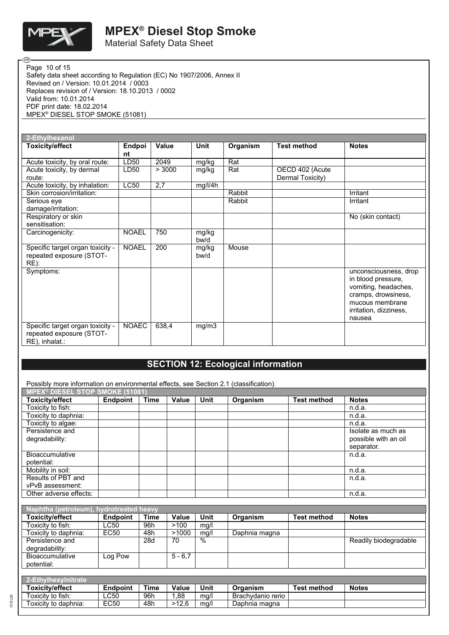

œ

# **MPEX® Diesel Stop Smoke**

Material Safety Data Sheet

Safety data sheet according to Regulation (EC) No 1907/2006, Annex II Revised on / Version: 10.01.2014 / 0003 Replaces revision of / Version: 18.10.2013 / 0002 Valid from: 10.01.2014 PDF print date: 18.02.2014 MPEX® DIESEL STOP SMOKE (51081) Page 10 of 15

| 2-Ethylhexanol                                                                 |              |        |               |          |                                     |                                                                                                                                                   |
|--------------------------------------------------------------------------------|--------------|--------|---------------|----------|-------------------------------------|---------------------------------------------------------------------------------------------------------------------------------------------------|
| <b>Toxicity/effect</b>                                                         | Endpoi<br>nt | Value  | Unit          | Organism | <b>Test method</b>                  | <b>Notes</b>                                                                                                                                      |
| Acute toxicity, by oral route:                                                 | LD50         | 2049   | mg/kg         | Rat      |                                     |                                                                                                                                                   |
| Acute toxicity, by dermal<br>route:                                            | LD50         | > 3000 | mg/kg         | Rat      | OECD 402 (Acute<br>Dermal Toxicity) |                                                                                                                                                   |
| Acute toxicity, by inhalation:                                                 | LC50         | 2,7    | mg/l/4h       |          |                                     |                                                                                                                                                   |
| Skin corrosion/irritation:                                                     |              |        |               | Rabbit   |                                     | Irritant                                                                                                                                          |
| Serious eye<br>damage/irritation:                                              |              |        |               | Rabbit   |                                     | Irritant                                                                                                                                          |
| Respiratory or skin<br>sensitisation:                                          |              |        |               |          |                                     | $\overline{No}$ (skin contact)                                                                                                                    |
| Carcinogenicity:                                                               | <b>NOAEL</b> | 750    | mg/kg<br>bw/d |          |                                     |                                                                                                                                                   |
| Specific target organ toxicity -<br>repeated exposure (STOT-<br>RE):           | <b>NOAEL</b> | 200    | mg/kg<br>bw/d | Mouse    |                                     |                                                                                                                                                   |
| Symptoms:                                                                      |              |        |               |          |                                     | unconsciousness, drop<br>in blood pressure,<br>vomiting, headaches,<br>cramps, drowsiness,<br>mucous membrane<br>irritation, dizziness,<br>nausea |
| Specific target organ toxicity -<br>repeated exposure (STOT-<br>RE), inhalat.: | <b>NOAEC</b> | 638,4  | mg/m3         |          |                                     |                                                                                                                                                   |

## **SECTION 12: Ecological information**

Possibly more information on environmental effects, see Section 2.1 (classification).

| Toxicity/effect        | <b>Endpoint</b> | Time | Value | <b>Unit</b> | Organism | Test method | <b>Notes</b>         |
|------------------------|-----------------|------|-------|-------------|----------|-------------|----------------------|
| Toxicity to fish:      |                 |      |       |             |          |             | n.d.a.               |
| Toxicity to daphnia:   |                 |      |       |             |          |             | n.d.a.               |
| Toxicity to algae:     |                 |      |       |             |          |             | n.d.a.               |
| Persistence and        |                 |      |       |             |          |             | Isolate as much as   |
| degradability:         |                 |      |       |             |          |             | possible with an oil |
|                        |                 |      |       |             |          |             | separator.           |
| <b>Bioaccumulative</b> |                 |      |       |             |          |             | n.d.a.               |
| potential:             |                 |      |       |             |          |             |                      |
| Mobility in soil:      |                 |      |       |             |          |             | n.d.a.               |
| Results of PBT and     |                 |      |       |             |          |             | n.d.a.               |
| vPvB assessment:       |                 |      |       |             |          |             |                      |
| Other adverse effects: |                 |      |       |             |          |             | n.d.a.               |

| Naphtha (petroleum), hydrotreated heavy |                 |             |           |      |               |             |                       |
|-----------------------------------------|-----------------|-------------|-----------|------|---------------|-------------|-----------------------|
| <b>Toxicity/effect</b>                  | <b>Endpoint</b> | <b>Time</b> | Value     | Unit | Organism      | Test method | <b>Notes</b>          |
| Toxicity to fish:                       | LC50            | 96h         | >100      | mg/l |               |             |                       |
| Toxicity to daphnia:                    | EC50            | 48h         | >1000     | ma/l | Daphnia magna |             |                       |
| Persistence and                         |                 | 28d         | 70        | %    |               |             | Readily biodegradable |
| degradability:                          |                 |             |           |      |               |             |                       |
| <b>Bioaccumulative</b>                  | Log Pow         |             | $5 - 6.7$ |      |               |             |                       |
| potential:                              |                 |             |           |      |               |             |                       |

| <u> 2-Ethylhexylnitrate</u> |                 |      |       |      |                   |                    |              |
|-----------------------------|-----------------|------|-------|------|-------------------|--------------------|--------------|
| Toxicitv/effect             | <b>Endpoint</b> | Time | Value | Unit | Organism          | <b>Test method</b> | <b>Notes</b> |
| Toxicity to fish:           | LC50            | 96h  | .88   | mg/l | Brachvdanio rerio |                    |              |
| Γoxicit∨ to daphnia∶        | <b>EC50</b>     | 48h  | >12 6 | ma/l | Daphnia magna     |                    |              |

1078 LEA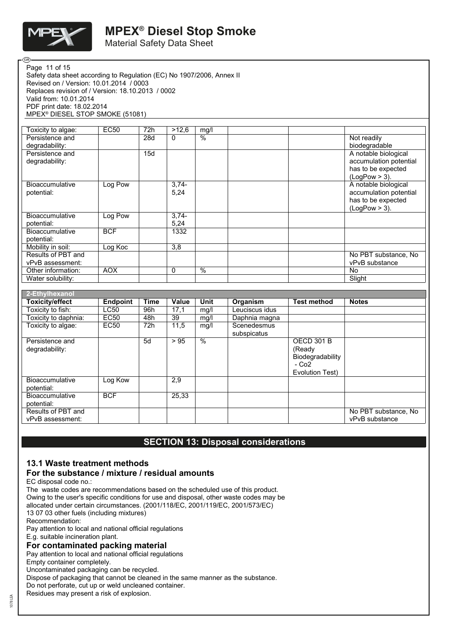

Material Safety Data Sheet

Safety data sheet according to Regulation (EC) No 1907/2006, Annex II Revised on / Version: 10.01.2014 / 0003 Replaces revision of / Version: 18.10.2013 / 0002 Valid from: 10.01.2014 PDF print date: 18.02.2014 MPEX® DIESEL STOP SMOKE (51081) Page 11 of 15

| Toxicity to algae:     | <b>EC50</b> | 72h | >12,6    | mg/l |                        |
|------------------------|-------------|-----|----------|------|------------------------|
| Persistence and        |             | 28d | $\Omega$ | %    | Not readily            |
| degradability:         |             |     |          |      | biodegradable          |
| Persistence and        |             | 15d |          |      | A notable biological   |
| degradability:         |             |     |          |      | accumulation potential |
|                        |             |     |          |      | has to be expected     |
|                        |             |     |          |      | $(LogPow > 3)$ .       |
| <b>Bioaccumulative</b> | Log Pow     |     | $3,74-$  |      | A notable biological   |
| potential:             |             |     | 5,24     |      | accumulation potential |
|                        |             |     |          |      | has to be expected     |
|                        |             |     |          |      | $(LogPow > 3)$ .       |
| Bioaccumulative        | Log Pow     |     | $3,74-$  |      |                        |
| potential:             |             |     | 5,24     |      |                        |
| Bioaccumulative        | <b>BCF</b>  |     | 1332     |      |                        |
| potential:             |             |     |          |      |                        |
| Mobility in soil:      | Log Koc     |     | 3,8      |      |                        |
| Results of PBT and     |             |     |          |      | No PBT substance, No   |
| vPvB assessment:       |             |     |          |      | vPvB substance         |
| Other information:     | <b>AOX</b>  |     | 0        | $\%$ | No.                    |
| Water solubility:      |             |     |          |      | Slight                 |

| 2-Ethylhexanol                         |                 |             |              |                 |                            |                                                                                         |                                        |
|----------------------------------------|-----------------|-------------|--------------|-----------------|----------------------------|-----------------------------------------------------------------------------------------|----------------------------------------|
| <b>Toxicity/effect</b>                 | <b>Endpoint</b> | <b>Time</b> | <b>Value</b> | <b>Unit</b>     | Organism                   | Test method                                                                             | <b>Notes</b>                           |
| Toxicity to fish:                      | LC50            | 96h         | 17,1         | mg/l            | Leuciscus idus             |                                                                                         |                                        |
| Toxicity to daphnia:                   | <b>EC50</b>     | 48h         | 39           | mg/l            | Daphnia magna              |                                                                                         |                                        |
| Toxicity to algae:                     | EC50            | 72h         | 11,5         | mq/l            | Scenedesmus<br>subspicatus |                                                                                         |                                        |
| Persistence and<br>degradability:      |                 | 5d          | > 95         | $\overline{\%}$ |                            | <b>OECD 301 B</b><br>(Ready<br>Biodegradability<br>- Co <sub>2</sub><br>Evolution Test) |                                        |
| <b>Bioaccumulative</b><br>potential:   | Log Kow         |             | 2,9          |                 |                            |                                                                                         |                                        |
| <b>Bioaccumulative</b><br>potential:   | <b>BCF</b>      |             | 25,33        |                 |                            |                                                                                         |                                        |
| Results of PBT and<br>vPvB assessment: |                 |             |              |                 |                            |                                                                                         | No PBT substance, No<br>vPvB substance |

### **SECTION 13: Disposal considerations**

### **13.1 Waste treatment methods**

### **For the substance / mixture / residual amounts**

EC disposal code no.:

The waste codes are recommendations based on the scheduled use of this product. Owing to the user's specific conditions for use and disposal, other waste codes may be allocated under certain circumstances. (2001/118/EC, 2001/119/EC, 2001/573/EC) 13 07 03 other fuels (including mixtures) Recommendation: Pay attention to local and national official regulations

E.g. suitable incineration plant.

#### **For contaminated packing material**

Pay attention to local and national official regulations

Empty container completely.

Uncontaminated packaging can be recycled.

Dispose of packaging that cannot be cleaned in the same manner as the substance.

Do not perforate, cut up or weld uncleaned container.

Residues may present a risk of explosion.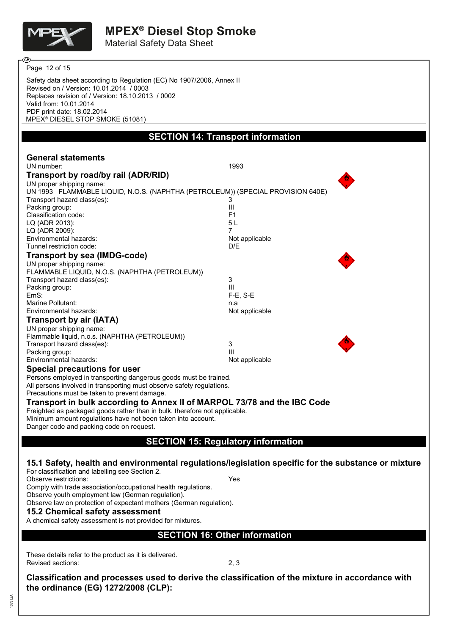

Material Safety Data Sheet

Safety data sheet according to Regulation (EC) No 1907/2006, Annex II Revised on / Version: 10.01.2014 / 0003 Replaces revision of / Version: 18.10.2013 / 0002 Valid from: 10.01.2014 PDF print date: 18.02.2014 MPEX® DIESEL STOP SMOKE (51081) **SECTION 14: Transport information General statements** UN number: 1993 **Transport by road/by rail (ADR/RID)** UN proper shipping name: UN 1993 FLAMMABLE LIQUID, N.O.S. (NAPHTHA (PETROLEUM)) (SPECIAL PROVISION 640E) Transport hazard class(es): 3 Packing group: III and the set of the set of the set of the set of the set of the set of the set of the set of the set of the set of the set of the set of the set of the set of the set of the set of the set of the set of t Classification code: LQ (ADR 2013): 5 L LQ (ADR 2009): Environmental hazards: Not applicable Tunnel restriction code: D/E **Transport by sea (IMDG-code)** UN proper shipping name: FLAMMABLE LIQUID, N.O.S. (NAPHTHA (PETROLEUM)) Transport hazard class(es): 3<br>Packing group: 3<br>III Packing group: EmS: F-E, S-E Marine Pollutant:<br>
Environmental hazards:<br>
Environmental hazards:<br>
in a complete of the settlemental hazards: Environmental hazards: **Transport by air (IATA)** UN proper shipping name: Flammable liquid, n.o.s. (NAPHTHA (PETROLEUM)) Transport hazard class(es): 3<br>Packing group: 3<br>III Packing group: Environmental hazards: Not applicable **Special precautions for user** Persons employed in transporting dangerous goods must be trained. All persons involved in transporting must observe safety regulations. Precautions must be taken to prevent damage. **Transport in bulk according to Annex II of MARPOL 73/78 and the IBC Code** Freighted as packaged goods rather than in bulk, therefore not applicable. Minimum amount regulations have not been taken into account. Danger code and packing code on request. **SECTION 15: Regulatory information 15.1 Safety, health and environmental regulations/legislation specific for the substance or mixture** For classification and labelling see Section 2. Observe restrictions: Yes Comply with trade association/occupational health regulations. Observe youth employment law (German regulation). Observe law on protection of expectant mothers (German regulation). **15.2 Chemical safety assessment** A chemical safety assessment is not provided for mixtures. **SECTION 16: Other information** These details refer to the product as it is delivered. Page 12 of 15

Revised sections: 2, 3

**Classification and processes used to derive the classification of the mixture in accordance with the ordinance (EG) 1272/2008 (CLP):**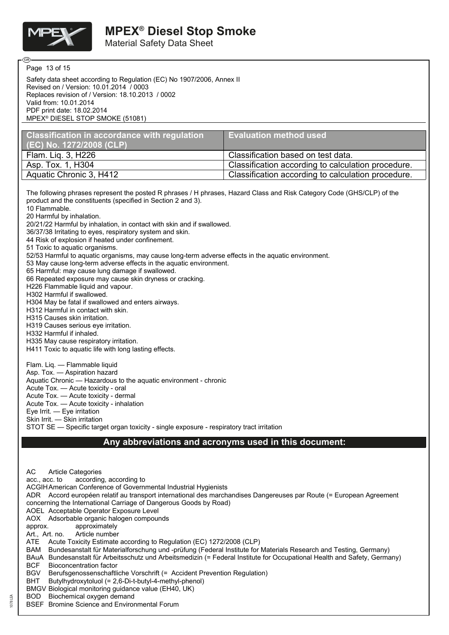

Material Safety Data Sheet

Page 13 of 15

ദു

Safety data sheet according to Regulation (EC) No 1907/2006, Annex II Revised on / Version: 10.01.2014 / 0003 Replaces revision of / Version: 18.10.2013 / 0002 Valid from: 10.01.2014 PDF print date: 18.02.2014 MPEX® DIESEL STOP SMOKE (51081)

| Classification in accordance with regulation | <b>Evaluation method used</b>                      |
|----------------------------------------------|----------------------------------------------------|
| $(EC)$ No. 1272/2008 (CLP)                   |                                                    |
| Flam. Lig. 3, H226                           | Classification based on test data.                 |
| Asp. Tox. 1, H304                            | Classification according to calculation procedure. |
| Aquatic Chronic 3, H412                      | Classification according to calculation procedure. |

The following phrases represent the posted R phrases / H phrases, Hazard Class and Risk Category Code (GHS/CLP) of the product and the constituents (specified in Section 2 and 3).

10 Flammable. 20 Harmful by inhalation.

20/21/22 Harmful by inhalation, in contact with skin and if swallowed.

36/37/38 Irritating to eyes, respiratory system and skin.

44 Risk of explosion if heated under confinement.

51 Toxic to aquatic organisms.

52/53 Harmful to aquatic organisms, may cause long-term adverse effects in the aquatic environment.

53 May cause long-term adverse effects in the aquatic environment.

65 Harmful: may cause lung damage if swallowed.

66 Repeated exposure may cause skin dryness or cracking.

H226 Flammable liquid and vapour.

H302 Harmful if swallowed.

H304 May be fatal if swallowed and enters airways.

H312 Harmful in contact with skin.

H315 Causes skin irritation.

H319 Causes serious eye irritation.

H332 Harmful if inhaled.

H335 May cause respiratory irritation.

H411 Toxic to aquatic life with long lasting effects.

Flam. Liq. — Flammable liquid

Asp. Tox. — Aspiration hazard

Aquatic Chronic — Hazardous to the aquatic environment - chronic

Acute Tox. — Acute toxicity - oral

Acute Tox. — Acute toxicity - dermal

Acute Tox. — Acute toxicity - inhalation Eye Irrit. — Eye irritation

Skin Irrit. — Skin irritation

STOT SE — Specific target organ toxicity - single exposure - respiratory tract irritation

### **Any abbreviations and acronyms used in this document:**

AC Article Categories acc., acc. to according, according to ACGIHAmerican Conference of Governmental Industrial Hygienists ADR Accord européen relatif au transport international des marchandises Dangereuses par Route (= European Agreement concerning the International Carriage of Dangerous Goods by Road) AOEL Acceptable Operator Exposure Level AOX Adsorbable organic halogen compounds approx. approximately Art., Art. no. Article number ATE Acute Toxicity Estimate according to Regulation (EC) 1272/2008 (CLP) BAM Bundesanstalt für Materialforschung und -prüfung (Federal Institute for Materials Research and Testing, Germany) BAuA Bundesanstalt für Arbeitsschutz und Arbeitsmedizin (= Federal Institute for Occupational Health and Safety, Germany) BCF Bioconcentration factor BGV Berufsgenossenschaftliche Vorschrift (= Accident Prevention Regulation) BHT Butylhydroxytoluol (= 2,6-Di-t-butyl-4-methyl-phenol) BMGV Biological monitoring guidance value (EH40, UK) BOD Biochemical oxygen demand

BSEF Bromine Science and Environmental Forum

 $\mathbb{Z}$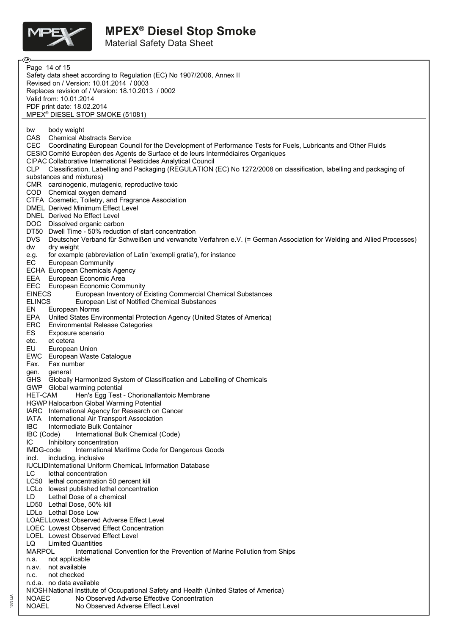

1078 LEA

Material Safety Data Sheet

| - (B) -                                                                                                                            |
|------------------------------------------------------------------------------------------------------------------------------------|
| Page 14 of 15                                                                                                                      |
| Safety data sheet according to Regulation (EC) No 1907/2006, Annex II                                                              |
| Revised on / Version: 10.01.2014 / 0003                                                                                            |
| Replaces revision of / Version: 18.10.2013 / 0002                                                                                  |
| Valid from: 10.01.2014                                                                                                             |
| PDF print date: 18.02.2014<br>MPEX <sup>®</sup> DIESEL STOP SMOKE (51081)                                                          |
|                                                                                                                                    |
| body weight<br>bw                                                                                                                  |
| CAS Chemical Abstracts Service                                                                                                     |
| CEC Coordinating European Council for the Development of Performance Tests for Fuels, Lubricants and Other Fluids                  |
| CESIO Comité Européen des Agents de Surface et de leurs Intermédiaires Organiques                                                  |
| <b>CIPAC Collaborative International Pesticides Analytical Council</b>                                                             |
| Classification, Labelling and Packaging (REGULATION (EC) No 1272/2008 on classification, labelling and packaging of<br>CLP .       |
| substances and mixtures)                                                                                                           |
| CMR carcinogenic, mutagenic, reproductive toxic<br>COD Chemical oxygen demand                                                      |
| CTFA Cosmetic, Toiletry, and Fragrance Association                                                                                 |
| <b>DMEL Derived Minimum Effect Level</b>                                                                                           |
| DNEL Derived No Effect Level                                                                                                       |
| DOC Dissolved organic carbon                                                                                                       |
| DT50 Dwell Time - 50% reduction of start concentration                                                                             |
| <b>DVS</b><br>Deutscher Verband für Schweißen und verwandte Verfahren e.V. (= German Association for Welding and Allied Processes) |
| dry weight<br>dw                                                                                                                   |
| for example (abbreviation of Latin 'exempli gratia'), for instance<br>e.g.<br>EC                                                   |
| <b>European Community</b><br>ECHA European Chemicals Agency                                                                        |
| <b>EEA</b><br>European Economic Area                                                                                               |
| <b>EEC</b> European Economic Community                                                                                             |
| <b>EINECS</b><br>European Inventory of Existing Commercial Chemical Substances                                                     |
| <b>ELINCS</b><br>European List of Notified Chemical Substances                                                                     |
| EN<br>European Norms                                                                                                               |
| EPA<br>United States Environmental Protection Agency (United States of America)                                                    |
| ERC<br><b>Environmental Release Categories</b>                                                                                     |
| ES<br>Exposure scenario<br>etc.<br>et cetera                                                                                       |
| EU<br>European Union                                                                                                               |
| EWC European Waste Catalogue                                                                                                       |
| Fax.<br>Fax number                                                                                                                 |
| general<br>gen.                                                                                                                    |
| <b>GHS</b><br>Globally Harmonized System of Classification and Labelling of Chemicals                                              |
| GWP<br>Global warming potential                                                                                                    |
| Hen's Egg Test - Chorionallantoic Membrane<br>HE I-CAM<br><b>HGWP Halocarbon Global Warming Potential</b>                          |
| IARC International Agency for Research on Cancer                                                                                   |
| IATA<br>International Air Transport Association                                                                                    |
| <b>IBC</b><br>Intermediate Bulk Container                                                                                          |
| IBC (Code)<br>International Bulk Chemical (Code)                                                                                   |
| IC<br>Inhibitory concentration                                                                                                     |
| IMDG-code<br>International Maritime Code for Dangerous Goods                                                                       |
| incl.<br>including, inclusive<br><b>IUCLIDInternational Uniform ChemicaL Information Database</b>                                  |
| LC.<br>lethal concentration                                                                                                        |
| LC50 lethal concentration 50 percent kill                                                                                          |
| LCLo lowest published lethal concentration                                                                                         |
| LD<br>Lethal Dose of a chemical                                                                                                    |
| LD50 Lethal Dose, 50% kill                                                                                                         |
| LDLo Lethal Dose Low                                                                                                               |
| <b>LOAELLowest Observed Adverse Effect Level</b>                                                                                   |
| LOEC Lowest Observed Effect Concentration                                                                                          |
| LOEL Lowest Observed Effect Level<br><b>Limited Quantities</b><br>LQ                                                               |
| <b>MARPOL</b><br>International Convention for the Prevention of Marine Pollution from Ships                                        |
| not applicable<br>n.a.                                                                                                             |
| not available<br>n.av.                                                                                                             |
| not checked<br>n.c.                                                                                                                |
| n.d.a. no data available                                                                                                           |
| NIOSHNational Institute of Occupational Safety and Health (United States of America)                                               |
| <b>NOAEC</b><br>No Observed Adverse Effective Concentration<br><b>NOAEL</b><br>No Observed Adverse Effect Level                    |
|                                                                                                                                    |